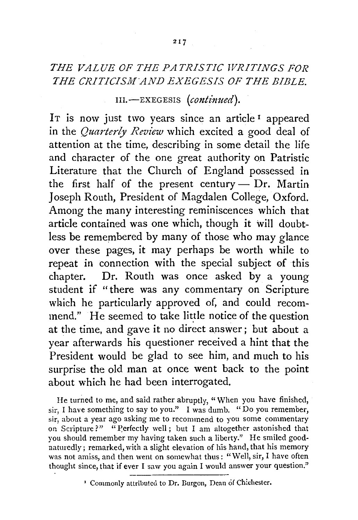## *THE VALUE OF THE PATRISTIC WRITINGS FOR THE CRITICISMAND EXEGESIS OF THE BIBLE.*

III.-EXEGESIS *(continued).* 

IT is now just two years since an article<sup>1</sup> appeared in the *Quarterly Review* which excited a good deal of attention at the time, describing in some detail the life and character of the one great authority on Patristic Literature that the Church of England possessed in the first half of the present century  $-$  Dr. Martin Joseph Routh, President of Magdalen College, Oxford. Among the many interesting reminiscences which that article contained was one which, though it will doubtless be remembered by many of those who may glance over these pages, it may perhaps be worth while to repeat in connection with the special subject of this chapter. Dr. Routh was once asked by a young student if "there was any commentary on Scripture which he particularly approved of, and could recommend." He seemed to take little notice of the question at the time, and gave it no direct answer; but about a year afterwards his questioner received a hint that the President would be glad to see him, and much to his surprise the old man at once went back to the point about which he had been interrogated.

He turned to me, and said rather abruptly, "When you have finished, sir, I have something to say to you." I was dumb. "Do you remember, sir, about a year ago asking me to recommend to you some commentary on Scripture?" "Perfectly well; but I am altogether astonished that you should remember my having taken such a liberty." He smiled goodnaturedly; remarked, with a slight elevation of his hand, that his memory was not amiss, and then went on somewhat thus: "Well, sir, I have often thought since, that if ever I saw you again I would answer your question."

<sup>&#</sup>x27; Commonly attributed to Dr. Burgon, Dean of Chichester.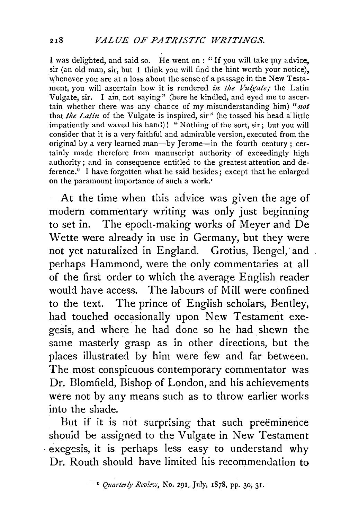I was delighted, and said so. He went on : "If you will take my advice, sir (an old man, sir, but I think you will find the hint worth your notice), whenever you are at a loss about the sense of a passage in the New Testament, you will ascertain how it is rendered *in the Vulgate*; the Latin Vulgate, sir. I am. not saying" (here he kindled, and eyed me to ascertain whether there was any chance of my misunderstanding him) "not that *the Latin* of the Vulgate is inspired, sir" (he tossed his head a little impatiently and waved his hand)! "Nothing of the sort, sir; but you will consider that it is a very faithful and admirable version, executed from the original by a very learned man-by Jerome-in the fourth century; certainly made therefore from manuscript authority of exceedingly high authority; and in consequence entitled to the greatest attention and deference." I have forgotten what he said besides; except that he enlarged on the paramount importance of such a work.'

At the time when this advice was given the age of modern commentary writing was only just beginning to set in. The epoch-making works of Meyer and De Wette were already in use in Germany, but they were not yet naturalized in England. Grotius, Bengel, and perhaps Hammond, were the only commentaries at all of the first order to which the average English reader would have access. The labours of Mill were confined to the text. The prince of English scholars, Bentley, had touched occasionally upon New Testament exegesis, and where he had done so he had shcwn the same masterly grasp as in other directions, but the places illustrated by him were few and far between. The most conspicuous contemporary commentator was Dr. Blomfield, Bishop of London, and his achievements were not by any means such as to throw earlier works into the shade.

But if it is not surprising that such preëminence should be assigned to the Vulgate in New Testament . exegesis, it is perhaps less easy to understand why Dr. Routh should have limited his recommendation to

' *Quarterly Review,* No. 291, July, 1878, pp. 30, 31.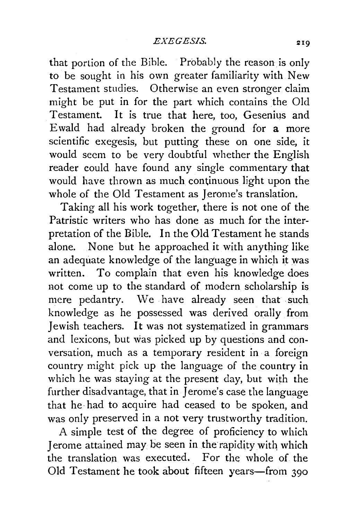that portion of the Bible. Probably the reason is only to be sought in his own greater familiarity with New Testament studies. Otherwise an even stronger claim might be put in for the part which contains the Old Testament. It is true that here, too. Gesenius and Ewald had already broken the ground for a more scientific exegesis, but putting these on one side, it would seem to be very doubtful whether the English reader could have found any single commentary that would have thrown as much continuous light upon the whole of the Old Testament as Jerome's translation.

Taking all his work together, there is not one of the Patristic writers who has done as much for the interpretation of the Bible. In the Old Testament he stands alone. None but he approached it with anything like an adequate knowledge of the language in which it was written. To complain that even his knowledge does not come up to the standard of modern scholarship is mere pedantry. We have already seen that such knowledge as he possessed was derived orally from Jewish teachers. It was not systematized in grammars and lexicons, but was picked up by questions and conversation, much as a temporary resident in a foreign country might pick up the language of the country in which he was staying at the present day, but with the further disadvantage, that in Jerome's case the language that he had to acquire had ceased to be spoken, and was only preserved in a not very trustworthy tradition.

A simple test of the degree of proficiency to which Jerome attained may be seen in the rapidity with which the translation was executed. For the whole of the Old Testament he took about fifteen years-from 390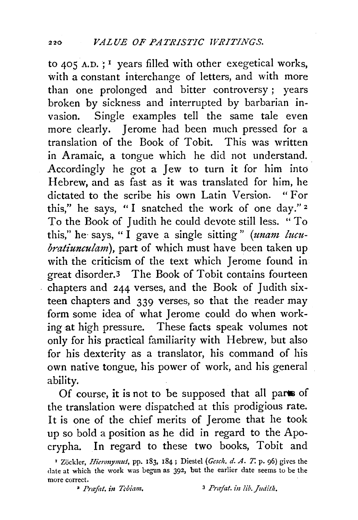to 405 A.D. ; 1 years filled with other exegetical works, with a constant interchange of letters, and with more than one prolonged and bitter controversy ; years broken by sickness and interrupted by barbarian invasion. Single examples tell the same tale even more clearly. Jerome had been much pressed for a translation of the Book of Tobit. This was written in Aramaic, a tongue which he did not understand. Accordingly he got a Jew to turn it for him into Hebrew, and as fast as it was translated for him, he dictated to the scribe his own Latin Version. " For this," he says, "I snatched the work of one day." <sup>2</sup> To the Book of Judith he could devote still less. "To this," he· says, "I gave a single sitting" *(unam lucubratiunculam*), part of which must have been taken up with the criticism of the text which Jerome found in great disordet.3 The Book of Tobit contains fourteen chapters and 244 verses, and the Book of Judith sixteen chapters and 339 verses, so that the reader may form some idea of what Jerome could do when working at high pressure. These facts speak volumes not only for his practical familiarity with Hebrew, but also for his dexterity as a translator, his command of his own native tongue, his power of work, and his general ability.

Of course, it is not to be supposed that all parts of the translation were dispatched at this prodigious rate. It is one of the chief merits of Jerome that he took up so bold a position as he did in regard to the Apocrypha. In regard to these two books, Tobit and

l.

<sup>&#</sup>x27; Zockler, *Hieronymuf,* pp. 183, 184; Diestel *(Gesch. d. A.* T. p. 96) gives the date at which the work was begun as 392, but the earlier date seems to be the more correct.<br>**2** *Prafat. in Tebiam.* 3 *Prafat. in lib. Judith.*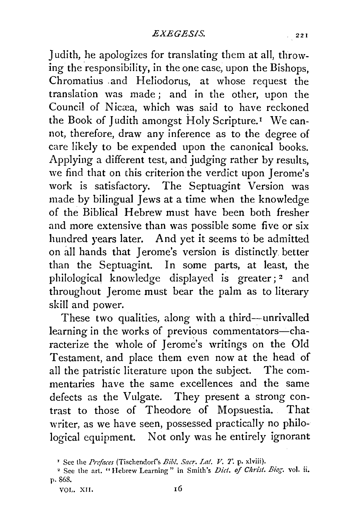Judith, he apologizes for translating them at all, throwing the responsibility, in the one case, upon the Bishops, Chromatius .and Heliodorus, at whose request the translation was made ; and in the other, upon the Council of Nicæa, which was said to have reckoned the Book of Judith amongst Holy Scripture.<sup>1</sup> We cannot, therefore, draw any inference as to the degree of care likely to be expended upon the canonical books. Applying a different test, and judging rather by results, we find that on this criterion the verdict upon Jerome's work is satisfactory. The Septuagint Version was made by bilingual Jews at a time when the knowledge of the Biblical Hebrew must have been both fresher and more extensive than was possible some five or six hundred years later. And yet it seems to be admitted on all hands that Jerome's version is distinctly better than the Septuagint. In some parts, at least, the philological knowledge displayed is greater; 2 and throughout Jerome must bear the palm as to literary skill and power.

These two qualities, along with a third-unrivalled learning in the works of previous commentators-characterize the whole of Jerome's writings on the Old Testament, and place them even now at the head of all the patristic literature upon the subject. The commentaries have the same excellences and the same defects as the Vulgate. They present a strong contrast to those of Theodore of Mopsuestia. That writer, as we have seen, possessed practically no philological equipment. Not only was he entirely ignorant

VOL. XII.

<sup>&#</sup>x27; See the *Prefaces* (Tischendorf's *Bib!. Sacr. La!. V.* 7'. p. xlviii).

<sup>&</sup>quot; See the art. "Hebrew Learning" in Smith's *Diet. of Christ. Biog.* vol. ii. p. 868.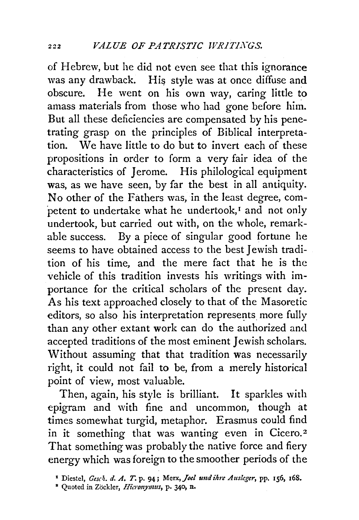of Hebrew, but he did not even see that this ignorance was any drawback. His style was at once diffuse and obscure. He went on his own way, caring little to He went on his own way, caring little to amass materials from those who had gone before him. But all these deficiencies are compensated by his penetrating grasp on the principles of Biblical interpretation. We have little to do but to invert each of these propositions in order to form a very fair idea of the characteristics of Jerome. His philological equipment was, as we have seen, by far the best in all antiquity. No other of the Fathers was, in the least degree, competent to undertake what he undertook,<sup>1</sup> and not only undertook, but carried out with, on the whole, remarkable success. By a piece of singular good fortune he seems to have obtained access to the best Jewish tradition of his time, and the mere fact that he is the vehicle of this tradition invests his writings with importance for the critical scholars of the present day. As his text approached closely to that of the Masoretic editors, so also his interpretation represents more fully than any other extant work can do the authorized and accepted traditions of the most eminent Jewish scholars. Without assuming that that tradition was necessarily right, it could not fail to be, from a merely historical point of view, most valuable.

Then, again, his style is brilliant. It sparkles with epigram and with fine and uncommon, though at times somewhat turgid, metaphor. Erasmus could find in it something that was wanting even in Cicero.<sup>2</sup> That something was probably the native force and fiery energy which was foreign to the smoother periods of the

<sup>&</sup>lt;sup>1</sup> Diestel, *Gesch. d. A. T.* p. 94; Merx, *Joel und ihre Ausleger*, pp. 156, 168.

<sup>&</sup>lt;sup>2</sup> Quoted in Zöckler, *Hicronymus*, p. 340, n.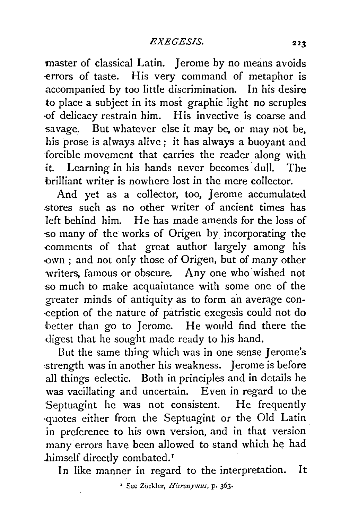master of classical Latin. *Jerome by no means avoids* -errors of taste. His very command of metaphor is accompanied by too little discrimination. In his desire to place a subject in its most graphic light no scruples ·of delicacy restrain him. His invective is coarse and savage. But whatever else it may be, or may not be, his prose is always alive; it has always a buoyant and forcible movement that carries the reader along with it. Learning in his hands never becomes dull. The brilliant writer is nowhere lost in the mere collector.

And yet as a collector, too, Jerome accumulated stores such as no other writer of ancient times has left behind him. He has made amends for the loss of so many of the works of Origen by incorporating the -comments of that great author largely among his -own ; and not only those of Origen, but of many other writers, famous or obscure. Any one who wished not so much to make acquaintance with some one of the greater minds of antiquity as to form an average con- -ception of the nature of patristic exegesis could not do better than go to Jerome. He would find there the digest that he sought made ready to his hand.

But the same thing which was in one sense Jerome's strength was in another his weakness. Jerome is before all things eclectic. Both in principles and in details he was vacillating and uncertain. Even in regard to the Septuagint he was not consistent. He frequently ·quotes either from the Septuagint or the Old Latin in preference to his own version, and in that version manyerrors have been allowed to stand which he had himself directly combated.<sup>1</sup>

In like manner in regard to the interpretation. It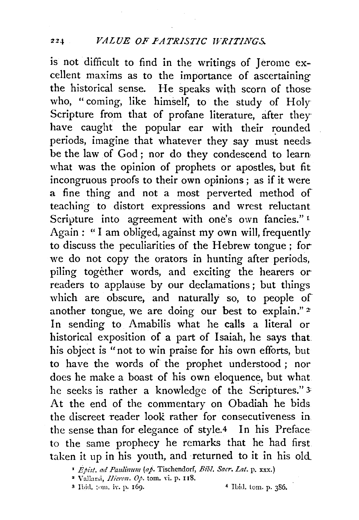is not difficult to find in the writings of Jerome excellent maxims as to the importance of ascertaining the historical sense. He speaks with scorn of those who, "coming, like himself, to the study of Holy Scripture from that of profane literature, after they have caught the popular ear with their rounded periods, imagine that whatever they say must needs. be the law of God; nor do they condescend to learn what was the opinion of prophets or apostles, but fit incongruous proofs to their own opinions ; as if it were a fine thing and not a most perverted method of teaching to distort expressions and wrest reluctant Scripture into agreement with one's own fancies."<sup>1</sup> Again: "I am obliged, against my own will, frequently to discuss the peculiarities of the Hebrew tongue; forwe do not copy the orators in hunting after periods, piling together words, and exciting the hearers orreaders to applause by our declamations ; but things which are obscure, and naturally so, to people of another tongue, we are doing our best to explain." *z*  In sending to Amabilis what he calls a literal or historical exposition of a part of Isaiah, he says that his object is "not to win praise for his own efforts, but to have the words of the prophet understood; nor does he make a boast of his own eloquence, but what he seeks is rather a knowledge of the Scriptures." 3: At the end of the commentary on Obadiah he bids the discreet reader look rather for consecutiveness in the sense than for elegance of style.4 In his Preface to the same prophecy he remarks that he had first taken it up in his youth, and returned to it in his old\_

- Vallarsi, /lier~n. *0}.* tom. vi. p. uS.
- <sup>3</sup> Ibid. tom. iv. p. 169. 4 Ibid. tom. p. 386.

<sup>•</sup> *Epz:rt. ad Pau!immt (aj.* Tischendorf, *Bib!. Sacr. Lat.* p. xxx.)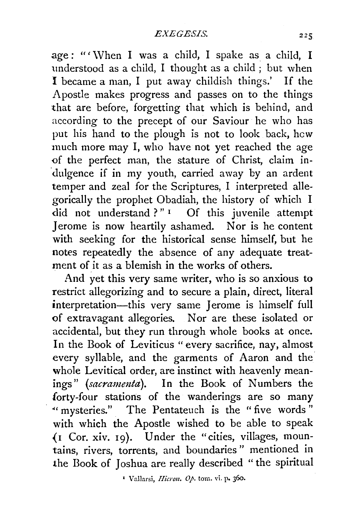$age: "' When I was a child, I spake as a child, I$ understood as a child, I thought as a child ; but when I became a man, I put away childish things.' If the Apostle makes progress and passes on to the things that are before, forgetting that which is behind, and according to the precept of our Saviour he who has put his hand to the plough is not to look back, hew much more may I, who have not yet reached the age <>f the perfect man, the stature of Christ, claim in dulgence if in my youth, carried away by an ardent temper and zeal for the Scriptures, I interpreted allegorically the prophet Obadiah, the history of which I did not understand ?"<sup>1</sup> Of this juvenile attempt Jerome is now heartily ashamed. Nor is he content with seeking for the historical sense himself, but he notes repeatedly the absence of any adequate treatment of it as a blemish in the works of others.

And yet this very same writer, who is so anxious to restrict allegorizing and to secure a plain, direct, literal interpretation-this very same Jerome is himself full <>f extravagant allegories. Nor are these isolated or accidental, but they run through whole books at once. In the Book of Leviticus "every sacrifice, nay, almost every syllable, and the garments of Aaron and the whole Levitical order, are instinct with heavenly meanings" (sacramenta). In the Book of Numbers the forty-four stations of the wanderings are so many " mysteries." The Pentateuch is the "five words" with which the Apostle wished to be able to speak (1 Cor. xiv. 19). Under the "cities, villages, mountains, rivers, torrents, and boundaries" mentioned in the Book of Joshua are really described " the spiritual

I Vallarsi, *Hicroll.* op. tom. vi. P• J6o.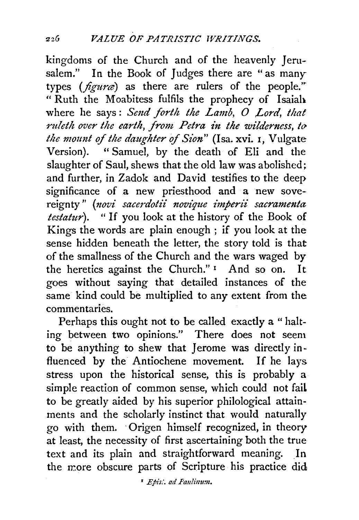kingdoms of the Church and of the heavenly Jerusalem." In the Book of Judges there are "as many types (figura) as there are rulers of the people." "Ruth the Moabitess fulfils the prophecy of Isaiah where he says: Send forth the Lamb, O Lord, that ruleth over the earth, from Petra in the wilderness, to *the mount of the daughter of Sion"* (Isa. xvi. 1, Vulgate Version). "Samuel, by the death of Eli and the slaughter of Saul, shews that the old law was abolished; and further, in Zadok and David testifies to the deep significance of a new priesthood and a new sovereignty" (novi sacerdotii novique imperii sacramenta *testatur).* " If you look at the history of the Book of Kings the words are plain enough ; if you look at the sense hidden beneath the letter, the story told is that of the smallness of the Church and the wars waged by the heretics against the Church."<sup>1</sup> And so on. It goes without saying that detailed instances of the same kind could be multiplied to any extent from the commentaries.

Perhaps this ought not to be called exactly a " halting between two opinions." There does not seem to be anything to shew that Jerome was directly influenced by the Antiochene movement. If he lays stress upon the historical sense, this is probably a simple reaction of common sense, which could not faiL to be greatly aided by his superior philological attainments and the scholarly instinct that would naturally go with them. · Origen himself recognized, in theory at least, the necessity of first ascertaining both the true text and its plain and straightforward meaning. In the more obscure parts of Scripture his practice did

• *Epis;'. ad Pau!immz.*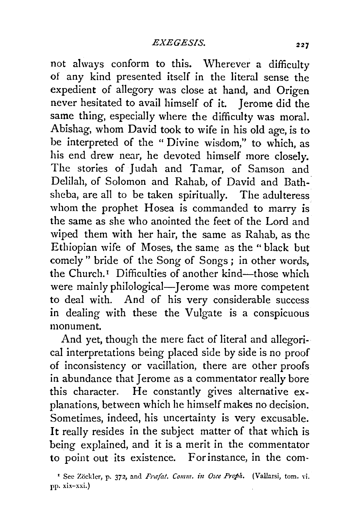not always conform to this. Wherever a difficulty of any kind presented itself in the literal sense the expedient of allegory was close at hand, and Origen never hesitated to avail himself of it. Jerome did the same thing, especially where the difficulty was moral. Abishag, whom David took to wife in his old age, is to he interpreted of the "Divine wisdom," to which, as his end drew near, he devoted himself more closely. The stories of Judah and Tamar, of Samson and Delilah, of Solomon and Rahab, of David and Bathsheba, are all to be taken spiritually. The adulteress whom the prophet Hosea is commanded to marry is the same as she who anointed the feet of the Lord and wiped them with her hair, the same as Rahab, as the Ethiopian wife of Moses, the same as the "black but comely " bride of the Song of Songs ; in other words, the Church.<sup>1</sup> Difficulties of another kind—those which were mainly philological—Jerome was more competent to deal with. And of his very considerable success in dealing with these the Vulgate is a conspicuous monument.

And yet, though the mere fact of literal and allegorical interpretations being placed side by side is no proof of inconsistency or vacillation, there are other proofs in abundance that Jerome as a commentator really bore this character. He constantly gives alternative explanations, between which he himself makes no decision. Sometimes, indeed, his uncertainty is very excusable. It really resides in the subject matter of that which is being explained, and it is a merit in the commentator to point out its existence. For instance, in the com-

<sup>&</sup>lt;sup>1</sup> See Zöckler, p. 372, and *Præfat. Comm. in Osce Proph.* (Vallarsi, tom. vi. pp. xix-xxi.)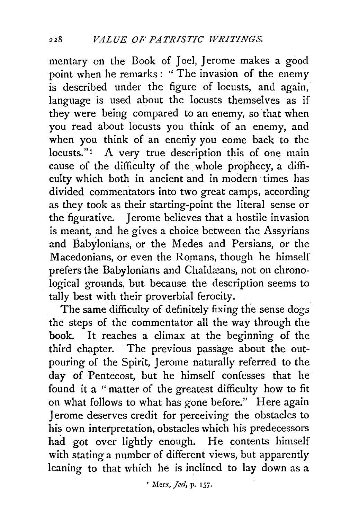mentary on the Book of Joel, Jerome makes a good point when he remarks : " The invasion of the enemy is described under the figure of locusts, and again, language is used about the locusts themselves as if they were being compared to an enemy, so that when you read about locusts you think of an enemy, and when you think of an enemy you come back to the locusts."<sup>1</sup> A very true description this of one main cause of the difficulty of the whole prophecy, a difficulty which both in ancient and in modern times has divided commentators into two great camps, according as they took as their starting-point the literal sense or the figurative. Jerome believes that a hostile invasion is mearit, and he gives a choice between the Assyrians and Babylonians, or the Medes and Persians, or the Macedonians, or even the Romans, though he himself prefers the Babylonians and Chaldæans, not on chronological grounds, but because the description seems to tally best with their proverbial ferocity.

The same difficulty of definitely fixing the sense dogs the steps of the commentator all the way through the book. It reaches a climax at the beginning of the third chapter. · The previous passage about the outpouring of the Spirit, Jerome naturally referred to the day of Pentecost, but he himself confesses that he found it a "matter of the greatest difficulty how to fit on what follows to what has gone before." Here again Jerome deserves credit for perceiving the obstacles to his own interpretation, obstacles which his predecessors had got over lightly enough. He contents himself with stating a number of different views, but apparently leaning to that which he is inclined to lay down as a

<sup>1</sup> Merx, *Joel*, p. 157.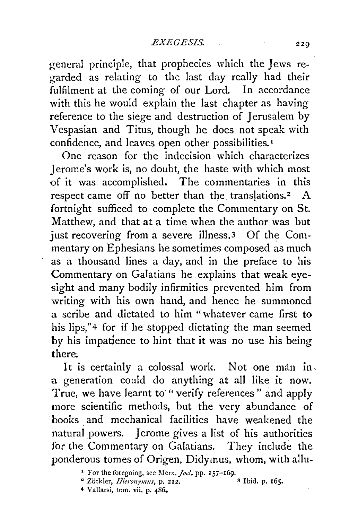general principle, that prophecies which the Jews regarded as relating to the last day really had their fulfilment at the coming of our Lord. In accordance with this he would explain the last chapter as having reference to the siege and destruction of Jerusalem by Vespasian and Titus, though he does not speak with confidence, and leaves open other possibilities. <sup>1</sup>

One reason for the indecision which characterizes Jerome's work is, no doubt, the haste with which most of it was accomplished. The commentaries in this· respect came off no better than the translations.<sup>2</sup> A fortnight sufficed to complete the Commentary on St. Matthew, and that at a time when the author was but just recovering from a severe illness.<sup>3</sup> Of the Commentary on Ephesians he sometimes composed as much as a thousand lines a day, and in the preface to his Commentary on Galatians he explains that weak eyesight and many bodily infirmities prevented him from writing with his own hand, and hence he summoned a scribe and dictated to him " whatever came first to his lips,"<sup>4</sup> for if he stopped dictating the man seemed by his impatience to hint that it was no use his being there.

It is certainly a colossal work. Not one man in. a generation could do anything at all like it now. True, we have learnt to " verify references " and apply more scientific methods, but the very abundance of books and mechanical facilities have weakened the natural powers. Jerome gives a list of his authorities for the Commentary on Galatians. They include the ponderous tomes of Origen, Didymus, whom, with allu-

4 V allarsi, tom. vii. p. 486.

<sup>&</sup>lt;sup>1</sup> For the foregoing, see Merx, *Joel*, pp. 157-169.<br><sup>2</sup> Zöckler, *Hieronymus*, p. 212.<br><sup>2</sup> Zöckler, *Hieronymus*, p. 212. <sup>2</sup> Zöckler, *Hieronymus*, p. 212.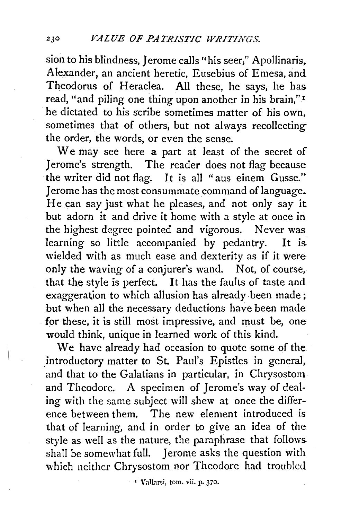sion to his blindness, Jerome calls "his seer," Apollinaris, Alexander, an ancient heretic, Eusebius of Emesa, and Theodorus of Heraclea. All these, he says, he has read, "and piling one thing upon another in his brain," <sup>1</sup> he dictated to his scribe sometimes matter of his own, sometimes that of others, but not always recollecting the order, the words, or even the sense.

We may see here a part at least of the secret of Jerome's strength. The reader does not flag because the writer did not flag. It is all "aus einem Gusse." Jerome has the most consummate command of language. He can say just what he pleases, and not only say it but adorn it and drive it home with a style at once in the highest degree pointed and vigorous. Never was learning so little accompanied by pedantry. It is wielded with as much ease and dexterity as if it were only the waving of a conjurer's wand. Not, of course, that the style is perfect. It has the faults of taste and exaggeration to which allusion has already been made; but when all the necessary deductions have been made for these, it is still most impressive, and must be, one would think, unique in learned work of this kind.

We have already had occasion to quote some of the introductory matter to St. Paul's Epistles in general, and that to the Galatians in particular, in Chrysostom and Theodore. A specimen of Jerome's way of dealing with the same subject will shew at once the difference between them. The new element introduced is that of learning, and in order to give an idea of the. style as well as the nature, the paraphrase that follows shall be somewhat full. Jerome asks the question with which neither Chrysostom nor Theodore had troubled

· <sup>1</sup>Vallarsi, tom. vii. P· 370.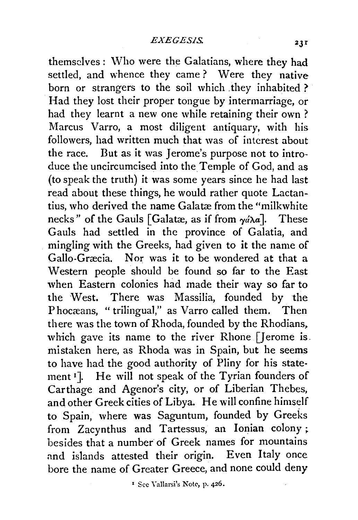themselves: \Vho were the Galatians, where they had settled, and whence they came ? Were they native born or strangers to the soil which they inhabited ? Had they lost their proper tongue by intermarriage, or had they learnt a new one while retaining their own ? Marcus Varro, a most diligent antiquary, with his followers, had written much that was of interest about the race. But as it was Jerome's purpose not to introduce the uncircumcised into the Temple of God, and as (to speak the truth) it was some years since he had last read about these things, he would rather quote Lactantius, who derived the name Galatæ from the "milkwhite necks" of the Gauls [Galatæ, as if from  $\gamma d\lambda a$ ]. These Gauls had settled in the province of Galatia, and mingling with the Greeks, had given to it the name of Gallo-Gracia. Nor was it to be wondered at that a Western people should be found so far to the East when Eastern colonies had made their way so far to the West. There was Massilia, founded by the Phocæans, "trilingual," as Varro called them. Then there was the town of Rhoda, founded by the Rhodians. which gave its name to the river Rhone [Jerome is. mistaken here, as Rhoda was in Spain, but he seems to have had the good authority of Pliny for his statement <sup>1</sup>]. He will not speak of the Tyrian founders of Carthage and Agenor's city, or of Liberian Thebes, and other Greek cities of Libya. He will confine himself to Spain, where was Saguntum, founded by Greeks from Zacynthus and Tartessus, an Ionian colony ; besides that a number of Greek names for mountains and islands attested their origin. Even Italy once bore the name of Greater Greece, and none could deny

<sup>1</sup> Sec Yallarsi's Note, p. 426.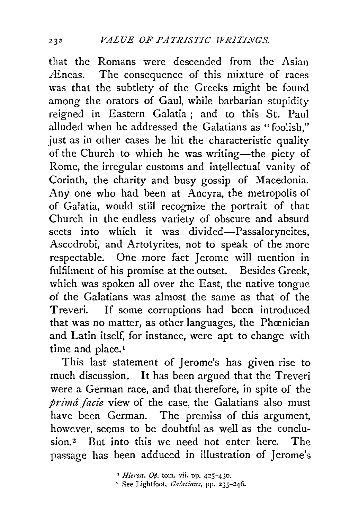that the Romans were descended from the Asian . Æneas. The consequence of this mixture of races was that the subtlety of the Greeks might be found among the orators of Gaul, while barbarian stupidity reigned in Eastern Galatia ; and to this St. Paul alluded when he addressed the Galatians as "foolish," just as in other cases he hit the characteristic quality of the Church to which he was writing-the piety of Rome, the irregular customs and intellectual vanity of Corinth, the charity and busy gossip of Macedonia. Any one who had been at Ancyra, the metropolis of of Galatia, would still recognize the portrait of that Church in the endless variety of obscure and absurd sects into which it was divided-Passaloryncites, Ascodrobi, and Artotyrites, not to speak of the more respectable. One more fact Jerome will mention in fulfilment of his promise at the outset. Besides Greek, which was spoken all over the East, the native tongue of the Galatians was almost the same as that of the Treveri. If some corruptions had been introduced that was no matter, as other languages, the Phoenician and Latin itself, for instance, were apt to change with time and place.<sup>1</sup>

This last statement of Jerome's has given rise to much discussion. It has been argued that the Treveri were a German race, and that therefore, in spite of the *prima facie* view of the case, the Galatians also must have been German. The premiss of this argument, however, seems to be doubtful as well as the conclusion.2 But into this we need hot enter here. The passage has been adduced in illustration of Jerome's

<sup>&</sup>lt;sup>1</sup> *Hieron. Op.* tom. vii. pp. 425-430.<br><sup>2</sup> See Lightfoot, *Galatians*, pp. 235-246.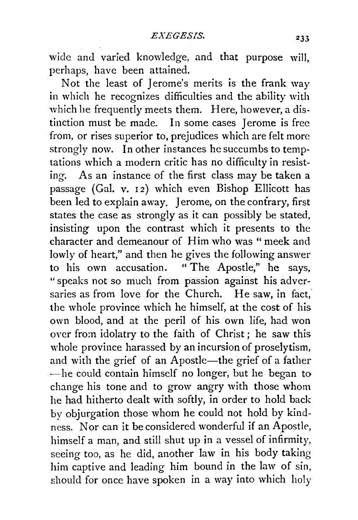wide and varied knowledge, and that purpose will, perhaps, have been attained.

Not the least of Jerome's merits is the frank way in which he recognizes difficulties and the ability with which he frequently meets them. Here, however, a distinction must be made. In some cases Jerome is free from, or rises superior to, prejudices which are felt more strongly now. In other instances he succumbs to temptations which a modern critic has no difficulty in resisting. As an instance of the first class may be taken a passage (Gal. v. 12) which even Bishop Ellicott has been led to explain away. Jerome, on the contrary, first states the case as strongly as it can possibly be stated, insisting upon the contrast which it presents to the character and demeanour of Him who was " meek and lowly of heart," and then he gives the following answer to his own accusation. " The Apostle," he says, "speaks not so much from passion against his adversaries as from love for the Church. He saw, in fact, the whole province which he himself, at the cost of his own blood, and at the peril of his own life, had won over from idolatry to the faith of Christ; he saw this whole province harassed by an incursion of proselytism, and with the grief of an Apostle-the grief of a father -he could contain himself no longer, but he began to change his tone and to grow angry with those whom he had hitherto dealt with softly, in order to hold back by objurgation those whom he could not hold by kindness. Nor can it be considered wonderful if an Apostle, himself a man, and still shut up in a vessel of infirmity, seeing too, as he did, another law in his body taking him captive and leading him bound in the law of sin. should for once have spoken in a way into which holy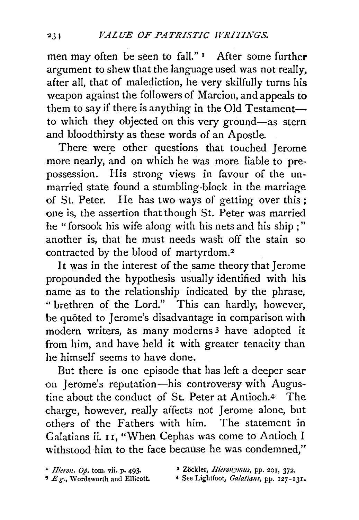men may often be seen to fall." I After some further argument to shew that the language used was not really, after all, that of malediction, he very skilfuily turns his weapon against the followers of Marcion, and appeals to them to say if there is anything in the Old Testamentto which they objected on this very ground-as stern and bloodthirsty as these words of an Apostle.

There were other questions that touched Jerome more nearly, and on which he was more liable to prepossession. His strong views in favour of the unmarried state found a stumbling-block in the marriage of St. Peter. He has two ways of getting over this ; one is, the assertion that though St. Peter was married he "forsook his wife along with his nets and his ship ; " another is, that he must needs wash off the stain so contracted by the blood of martyrdom. <sup>2</sup>

It was in the interest of the same theory that Jerome propounded the hypothesis usually identified with his name as to the relationship indicated by the phrase, " brethren of the Lord." This can hardly, however, be quôted to Jerome's disadvantage in comparison with modern writers, as many moderns<sup>3</sup> have adopted it from him, and have held it with greater tenacity than he himself seems to have done.

But there is one episode that has left a deeper scar on Jerome's reputation-his controversy with Augustine about the conduct of St. Peter at Antioch.4 The charge, however, really affects not Jerome alone, but others of the Fathers with him. The statement in Galatians ii. II, "When Cephas was come to Antioch I withstood him to the face because he was condemned,"

- 
- <sup>4</sup> See Lightfoot, Galatians, pp. 127-131.

<sup>&</sup>lt;sup>1</sup> *Hieron. Op.* tom. vii. p. 493. <sup>a</sup> Zöckler, *Hieronymus*, pp. 201, 372.<br><sup>3</sup> *E.g.*, Wordsworth and Ellicott. <sup>4</sup> See Lightfoot, *Galatians*, pp. 127-1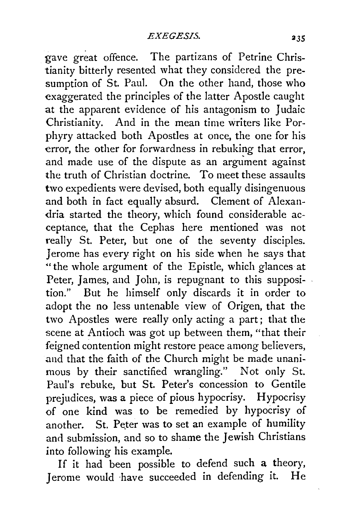gave great offence. The partizans of Petrine Christianity bitterly resented what they considered the presumption of St. Paul. On the other hand, those who exaggerated the principles of the latter Apostle caught at the apparent evidence of his antagonism to Judaic Christianity. And in the mean time writers like Porphyry attacked both Apostles at once, the one for his error, the other for forwardness in rebuking that error, and made use of the dispute as an argument against the truth of Christian doctrine. To meet these assaults two expedients were devised, both equally disingenuous and both in fact equally absurd. Clement of Alexandria started the theory, which found considerable acceptance, that the Cephas here mentioned was not really St. Peter, but one of the seventy disciples. Jerome has every right on his side when he says that "the whole argument of the Epistle, which glances at Peter, James, and John, is repugnant to this supposition." But he himself only discards it in order to adopt the no less untenable view of Origen, that the two Apostles were really only acting a part; that the scene at Antioch was got up between them, "that their feigned contention might restore peace among believers, and that the faith of the Church might be made unanimous by their sanctified wrangling." Not only St. Paul's rebuke, but St. Peter's concession to Gentile prejudices, was a piece of pious hypocrisy. Hypocrisy of one kind was to be remedied by hypocrisy of another. St. Peter was to set an example of humility and submission, and so to shame the Jewish Christians into following his example.

If it had been possible to defend such a theory, Jerome would ·have succeeded in defending it. He